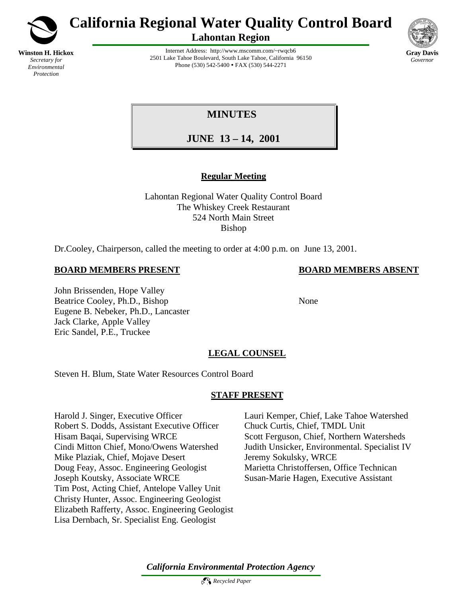

*Environmental Protection*

**California Regional Water Quality Control Board**

**Lahontan Region**



Internet Address: http://www.mscomm.com/~rwqcb6 2501 Lake Tahoe Boulevard, South Lake Tahoe, California 96150 Phone (530) 542-5400 • FAX (530) 544-2271

# **MINUTES**

**JUNE 13 – 14, 2001** 

# **Regular Meeting**

Lahontan Regional Water Quality Control Board The Whiskey Creek Restaurant 524 North Main Street Bishop

Dr.Cooley, Chairperson, called the meeting to order at 4:00 p.m. on June 13, 2001.

## **BOARD MEMBERS PRESENT BOARD MEMBERS ABSENT**

John Brissenden, Hope Valley Beatrice Cooley, Ph.D., Bishop None Eugene B. Nebeker, Ph.D., Lancaster Jack Clarke, Apple Valley Eric Sandel, P.E., Truckee

# **LEGAL COUNSEL**

Steven H. Blum, State Water Resources Control Board

# **STAFF PRESENT**

Harold J. Singer, Executive Officer Lauri Kemper, Chief, Lake Tahoe Watershed Robert S. Dodds, Assistant Executive Officer Chuck Curtis, Chief, TMDL Unit Hisam Baqai, Supervising WRCE Scott Ferguson, Chief, Northern Watersheds Cindi Mitton Chief, Mono/Owens Watershed Judith Unsicker, Environmental. Specialist IV Mike Plaziak, Chief, Mojave Desert Jeremy Sokulsky, WRCE Doug Feay, Assoc. Engineering Geologist Marietta Christoffersen, Office Technican Joseph Koutsky, Associate WRCE Susan-Marie Hagen, Executive Assistant Tim Post, Acting Chief, Antelope Valley Unit Christy Hunter, Assoc. Engineering Geologist Elizabeth Rafferty, Assoc. Engineering Geologist Lisa Dernbach, Sr. Specialist Eng. Geologist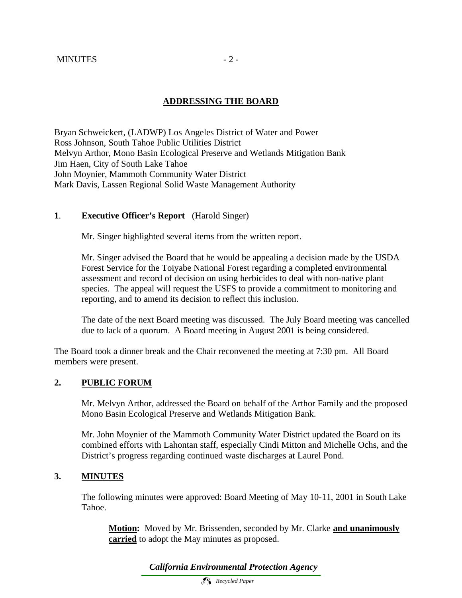## **ADDRESSING THE BOARD**

Bryan Schweickert, (LADWP) Los Angeles District of Water and Power Ross Johnson, South Tahoe Public Utilities District Melvyn Arthor, Mono Basin Ecological Preserve and Wetlands Mitigation Bank Jim Haen, City of South Lake Tahoe John Moynier, Mammoth Community Water District Mark Davis, Lassen Regional Solid Waste Management Authority

#### **1**. **Executive Officer's Report** (Harold Singer)

Mr. Singer highlighted several items from the written report.

Mr. Singer advised the Board that he would be appealing a decision made by the USDA Forest Service for the Toiyabe National Forest regarding a completed environmental assessment and record of decision on using herbicides to deal with non-native plant species. The appeal will request the USFS to provide a commitment to monitoring and reporting, and to amend its decision to reflect this inclusion.

The date of the next Board meeting was discussed. The July Board meeting was cancelled due to lack of a quorum. A Board meeting in August 2001 is being considered.

The Board took a dinner break and the Chair reconvened the meeting at 7:30 pm. All Board members were present.

#### **2. PUBLIC FORUM**

Mr. Melvyn Arthor, addressed the Board on behalf of the Arthor Family and the proposed Mono Basin Ecological Preserve and Wetlands Mitigation Bank.

Mr. John Moynier of the Mammoth Community Water District updated the Board on its combined efforts with Lahontan staff, especially Cindi Mitton and Michelle Ochs, and the District's progress regarding continued waste discharges at Laurel Pond.

#### **3. MINUTES**

The following minutes were approved: Board Meeting of May 10-11, 2001 in South Lake Tahoe.

**Motion:** Moved by Mr. Brissenden, seconded by Mr. Clarke **and unanimously carried** to adopt the May minutes as proposed.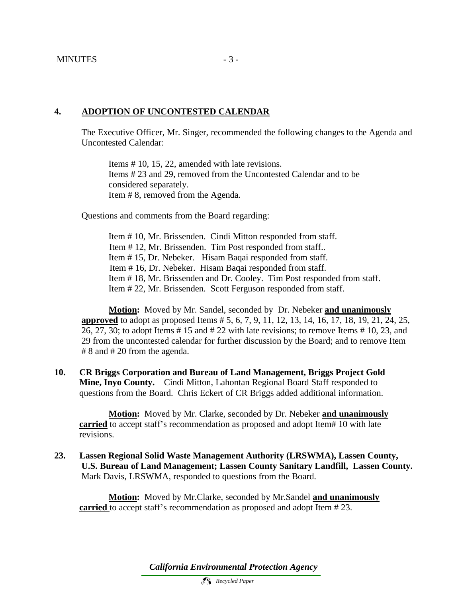#### **4. ADOPTION OF UNCONTESTED CALENDAR**

The Executive Officer, Mr. Singer, recommended the following changes to the Agenda and Uncontested Calendar:

Items # 10, 15, 22, amended with late revisions. Items # 23 and 29, removed from the Uncontested Calendar and to be considered separately. Item # 8, removed from the Agenda.

Questions and comments from the Board regarding:

Item # 10, Mr. Brissenden. Cindi Mitton responded from staff. Item # 12, Mr. Brissenden. Tim Post responded from staff.. Item # 15, Dr. Nebeker. Hisam Baqai responded from staff. Item # 16, Dr. Nebeker. Hisam Baqai responded from staff. Item # 18, Mr. Brissenden and Dr. Cooley. Tim Post responded from staff. Item # 22, Mr. Brissenden. Scott Ferguson responded from staff.

**Motion:** Moved by Mr. Sandel, seconded by Dr. Nebeker **and unanimously approved** to adopt as proposed Items # 5, 6, 7, 9, 11, 12, 13, 14, 16, 17, 18, 19, 21, 24, 25, 26, 27, 30; to adopt Items # 15 and # 22 with late revisions; to remove Items # 10, 23, and 29 from the uncontested calendar for further discussion by the Board; and to remove Item # 8 and # 20 from the agenda.

**10. CR Briggs Corporation and Bureau of Land Management, Briggs Project Gold Mine, Inyo County.** Cindi Mitton, Lahontan Regional Board Staff responded to questions from the Board. Chris Eckert of CR Briggs added additional information.

**Motion:** Moved by Mr. Clarke, seconded by Dr. Nebeker **and unanimously carried** to accept staff's recommendation as proposed and adopt Item# 10 with late revisions.

**23. Lassen Regional Solid Waste Management Authority (LRSWMA), Lassen County, U.S. Bureau of Land Management; Lassen County Sanitary Landfill, Lassen County.**  Mark Davis, LRSWMA, responded to questions from the Board.

**Motion:** Moved by Mr.Clarke, seconded by Mr.Sandel **and unanimously carried** to accept staff's recommendation as proposed and adopt Item # 23.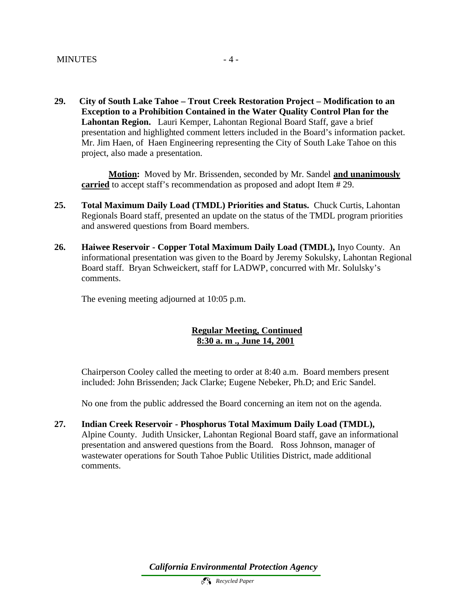**29. City of South Lake Tahoe – Trout Creek Restoration Project – Modification to an Exception to a Prohibition Contained in the Water Quality Control Plan for the Lahontan Region.** Lauri Kemper, Lahontan Regional Board Staff, gave a brief presentation and highlighted comment letters included in the Board's information packet. Mr. Jim Haen, of Haen Engineering representing the City of South Lake Tahoe on this project, also made a presentation.

**Motion:** Moved by Mr. Brissenden, seconded by Mr. Sandel **and unanimously carried** to accept staff's recommendation as proposed and adopt Item # 29.

- **25. Total Maximum Daily Load (TMDL) Priorities and Status.** Chuck Curtis, Lahontan Regionals Board staff, presented an update on the status of the TMDL program priorities and answered questions from Board members.
- **26. Haiwee Reservoir Copper Total Maximum Daily Load (TMDL),** Inyo County. An informational presentation was given to the Board by Jeremy Sokulsky, Lahontan Regional Board staff. Bryan Schweickert, staff for LADWP, concurred with Mr. Solulsky's comments.

The evening meeting adjourned at 10:05 p.m.

#### **Regular Meeting, Continued 8:30 a. m ., June 14, 2001**

Chairperson Cooley called the meeting to order at 8:40 a.m. Board members present included: John Brissenden; Jack Clarke; Eugene Nebeker, Ph.D; and Eric Sandel.

No one from the public addressed the Board concerning an item not on the agenda.

**27. Indian Creek Reservoir - Phosphorus Total Maximum Daily Load (TMDL),**  Alpine County. Judith Unsicker, Lahontan Regional Board staff, gave an informational presentation and answered questions from the Board. Ross Johnson, manager of wastewater operations for South Tahoe Public Utilities District, made additional comments.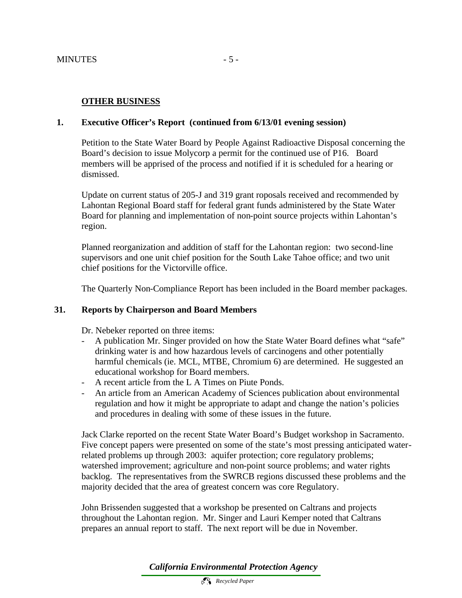### **OTHER BUSINESS**

#### **1. Executive Officer's Report (continued from 6/13/01 evening session)**

Petition to the State Water Board by People Against Radioactive Disposal concerning the Board's decision to issue Molycorp a permit for the continued use of P16. Board members will be apprised of the process and notified if it is scheduled for a hearing or dismissed.

Update on current status of 205-J and 319 grant roposals received and recommended by Lahontan Regional Board staff for federal grant funds administered by the State Water Board for planning and implementation of non-point source projects within Lahontan's region.

Planned reorganization and addition of staff for the Lahontan region: two second-line supervisors and one unit chief position for the South Lake Tahoe office; and two unit chief positions for the Victorville office.

The Quarterly Non-Compliance Report has been included in the Board member packages.

#### **31. Reports by Chairperson and Board Members**

Dr. Nebeker reported on three items:

- A publication Mr. Singer provided on how the State Water Board defines what "safe" drinking water is and how hazardous levels of carcinogens and other potentially harmful chemicals (ie. MCL, MTBE, Chromium 6) are determined. He suggested an educational workshop for Board members.
- A recent article from the L A Times on Piute Ponds.
- An article from an American Academy of Sciences publication about environmental regulation and how it might be appropriate to adapt and change the nation's policies and procedures in dealing with some of these issues in the future.

Jack Clarke reported on the recent State Water Board's Budget workshop in Sacramento. Five concept papers were presented on some of the state's most pressing anticipated waterrelated problems up through 2003: aquifer protection; core regulatory problems; watershed improvement; agriculture and non-point source problems; and water rights backlog. The representatives from the SWRCB regions discussed these problems and the majority decided that the area of greatest concern was core Regulatory.

John Brissenden suggested that a workshop be presented on Caltrans and projects throughout the Lahontan region. Mr. Singer and Lauri Kemper noted that Caltrans prepares an annual report to staff. The next report will be due in November.